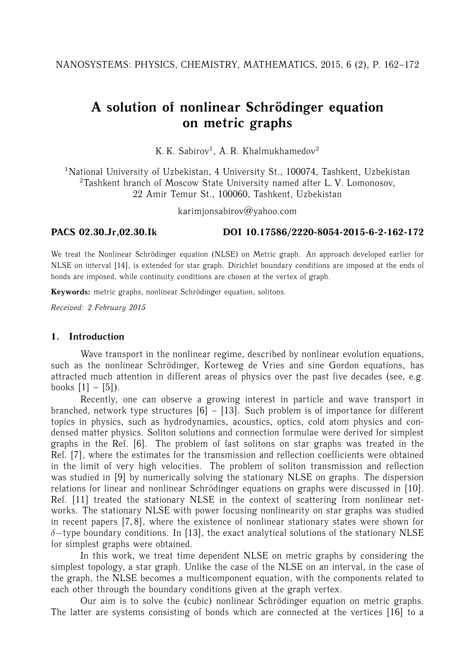# A solution of nonlinear Schrödinger equation **on metric graphs**

K. K. Sabirov<sup>1</sup>, A. R. Khalmukhamedov<sup>2</sup>

<sup>1</sup>National University of Uzbekistan, 4 University St., 100074, Tashkent, Uzbekistan <sup>2</sup>Tashkent branch of Moscow State University named after L. V. Lomonosov, 22 Amir Temur St., 100060, Tashkent, Uzbekistan

karimjonsabirov@yahoo.com

## **PACS 02.30.Jr,02.30.Ik DOI 10.17586/2220-8054-2015-6-2-162-172**

We treat the Nonlinear Schrödinger equation (NLSE) on Metric graph. An approach developed earlier for NLSE on interval [14], is extended for star graph. Dirichlet boundary conditions are imposed at the ends of bonds are imposed, while continuity conditions are chosen at the vertex of graph.

Keywords: metric graphs, nonlinear Schrödinger equation, solitons.

*Received: 2 February 2015*

## **1. Introduction**

Wave transport in the nonlinear regime, described by nonlinear evolution equations, such as the nonlinear Schrödinger, Korteweg de Vries and sine Gordon equations, has attracted much attention in different areas of physics over the past five decades (see, e.g. books  $[1] - [5]$ ).

Recently, one can observe a growing interest in particle and wave transport in branched, network type structures  $[6] - [13]$ . Such problem is of importance for different topics in physics, such as hydrodynamics, acoustics, optics, cold atom physics and condensed matter physics. Soliton solutions and connection formulae were derived for simplest graphs in the Ref. [6]. The problem of fast solitons on star graphs was treated in the Ref. [7], where the estimates for the transmission and reflection coefficients were obtained in the limit of very high velocities. The problem of soliton transmission and reflection was studied in [9] by numerically solving the stationary NLSE on graphs. The dispersion relations for linear and nonlinear Schrödinger equations on graphs were discussed in [10]. Ref. [11] treated the stationary NLSE in the context of scattering from nonlinear networks. The stationary NLSE with power focusing nonlinearity on star graphs was studied in recent papers [7, 8], where the existence of nonlinear stationary states were shown for  $\delta$ -type boundary conditions. In [13], the exact analytical solutions of the stationary NLSE for simplest graphs were obtained.

In this work, we treat time dependent NLSE on metric graphs by considering the simplest topology, a star graph. Unlike the case of the NLSE on an interval, in the case of the graph, the NLSE becomes a multicomponent equation, with the components related to each other through the boundary conditions given at the graph vertex.

Our aim is to solve the (cubic) nonlinear Schrödinger equation on metric graphs. The latter are systems consisting of bonds which are connected at the vertices [16] to a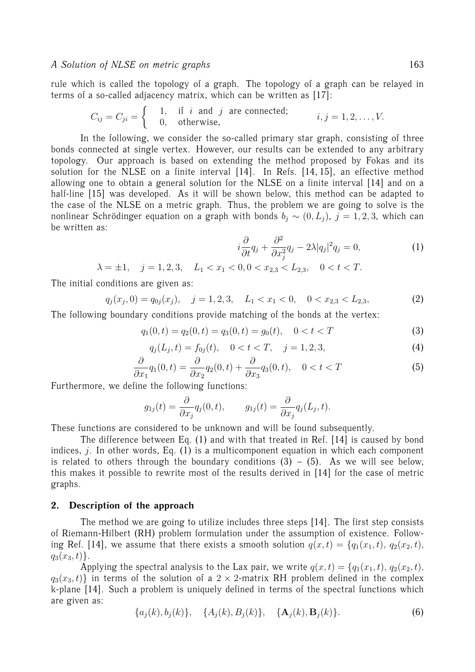rule which is called the topology of a graph. The topology of a graph can be relayed in terms of a so-called adjacency matrix, which can be written as [17]:

$$
C_{ij} = C_{ji} = \begin{cases} 1, & \text{if } i \text{ and } j \text{ are connected;} \\ 0, & \text{otherwise,} \end{cases} \quad i, j = 1, 2, \dots, V.
$$

In the following, we consider the so-called primary star graph, consisting of three bonds connected at single vertex. However, our results can be extended to any arbitrary topology. Our approach is based on extending the method proposed by Fokas and its solution for the NLSE on a finite interval [14]. In Refs. [14, 15], an effective method allowing one to obtain a general solution for the NLSE on a finite interval [14] and on a half-line [15] was developed. As it will be shown below, this method can be adapted to the case of the NLSE on a metric graph. Thus, the problem we are going to solve is the nonlinear Schrödinger equation on a graph with bonds  $b_i \sim (0, L_i)$ ,  $j = 1, 2, 3$ , which can be written as:

$$
i\frac{\partial}{\partial t}q_j + \frac{\partial^2}{\partial x_j^2}q_j - 2\lambda |q_j|^2 q_j = 0, \qquad (1)
$$

$$
\lambda = \pm 1, \quad j = 1, 2, 3, \quad L_1 < x_1 < 0, 0 < x_{2,3} < L_{2,3}, \quad 0 < t < T.
$$

The initial conditions are given as:

$$
q_j(x_j, 0) = q_{0j}(x_j), \quad j = 1, 2, 3, \quad L_1 < x_1 < 0, \quad 0 < x_{2,3} < L_{2,3}, \tag{2}
$$

The following boundary conditions provide matching of the bonds at the vertex:

$$
q_1(0,t) = q_2(0,t) = q_3(0,t) = g_0(t), \quad 0 < t < T \tag{3}
$$

$$
q_j(L_j, t) = f_{0j}(t), \quad 0 < t < T, \quad j = 1, 2, 3,\tag{4}
$$

$$
\frac{\partial}{\partial x_1}q_1(0,t) = \frac{\partial}{\partial x_2}q_2(0,t) + \frac{\partial}{\partial x_3}q_3(0,t), \quad 0 < t < T
$$
\n(5)

Furthermore, we define the following functions:

$$
g_{1j}(t) = \frac{\partial}{\partial x_j} q_j(0, t), \qquad g_{1j}(t) = \frac{\partial}{\partial x_j} q_j(L_j, t).
$$

These functions are considered to be unknown and will be found subsequently.

The difference between Eq. (1) and with that treated in Ref. [14] is caused by bond indices, *j*. In other words, Eq.  $(1)$  is a multicomponent equation in which each component is related to others through the boundary conditions  $(3) - (5)$ . As we will see below, this makes it possible to rewrite most of the results derived in [14] for the case of metric graphs.

#### **2. Description of the approach**

The method we are going to utilize includes three steps [14]. The first step consists of Riemann-Hilbert (RH) problem formulation under the assumption of existence. Following Ref. [14], we assume that there exists a smooth solution  $q(x,t) = \{q_1(x_1,t), q_2(x_2,t)\}$ ,  $q_3(x_3, t)$ .

Applying the spectral analysis to the Lax pair, we write  $q(x,t) = \{q_1(x_1,t), q_2(x_2,t),$  $q_3(x_3, t)$  in terms of the solution of a 2 × 2-matrix RH problem defined in the complex k-plane [14]. Such a problem is uniquely defined in terms of the spectral functions which are given as:

$$
\{a_j(k), b_j(k)\}, \{A_j(k), B_j(k)\}, \{A_j(k), B_j(k)\}.
$$
 (6)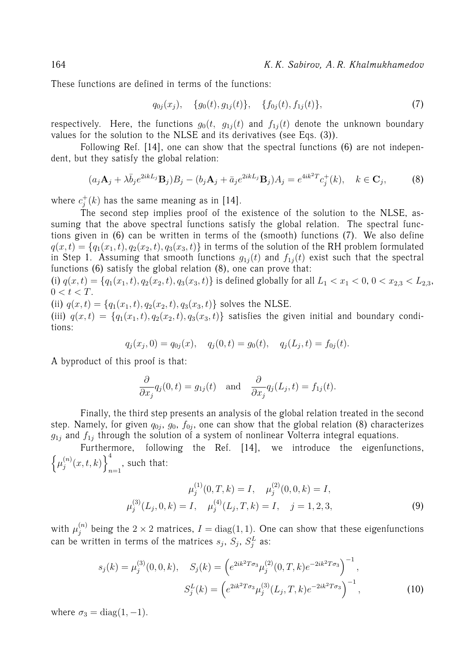164 *K. K. Sabirov, A. R. Khalmukhamedov*

These functions are defined in terms of the functions:

$$
q_{0j}(x_j), \quad \{g_0(t), g_{1j}(t)\}, \quad \{f_{0j}(t), f_{1j}(t)\}, \tag{7}
$$

respectively. Here, the functions  $g_0(t, g_{1j}(t))$  and  $f_{1j}(t)$  denote the unknown boundary values for the solution to the NLSE and its derivatives (see Eqs. (3)).

Following Ref. [14], one can show that the spectral functions (6) are not independent, but they satisfy the global relation:

$$
(a_j \mathbf{A}_j + \lambda \bar{b}_j e^{2ikL_j} \mathbf{B}_j) B_j - (b_j \mathbf{A}_j + \bar{a}_j e^{2ikL_j} \mathbf{B}_j) A_j = e^{4ik^2T} c_j^+(k), \quad k \in \mathbf{C}_j,
$$
 (8)

where  $c_i^+$  $j^{\pm}(k)$  has the same meaning as in [14].

The second step implies proof of the existence of the solution to the NLSE, assuming that the above spectral functions satisfy the global relation. The spectral functions given in (6) can be written in terms of the (smooth) functions (7). We also define  $q(x,t) = \{q_1(x_1,t), q_2(x_2,t), q_3(x_3,t)\}\$ in terms of the solution of the RH problem formulated in Step 1. Assuming that smooth functions  $g_{1i}(t)$  and  $f_{1i}(t)$  exist such that the spectral functions (6) satisfy the global relation (8), one can prove that:

(i)  $q(x,t) = \{q_1(x_1,t), q_2(x_2,t), q_3(x_3,t)\}\$ is defined globally for all  $L_1 < x_1 < 0, 0 < x_{2,3} < L_{2,3}$ ,  $0 < t < T$ .

(ii)  $q(x,t) = \{q_1(x_1,t), q_2(x_2,t), q_3(x_3,t)\}\$  solves the NLSE.

(iii)  $q(x,t) = \{q_1(x_1,t), q_2(x_2,t), q_3(x_3,t)\}\$  satisfies the given initial and boundary conditions:

$$
q_j(x_j, 0) = q_{0j}(x), \quad q_j(0, t) = g_0(t), \quad q_j(L_j, t) = f_{0j}(t).
$$

A byproduct of this proof is that:

$$
\frac{\partial}{\partial x_j} q_j(0,t) = g_{1j}(t) \text{ and } \frac{\partial}{\partial x_j} q_j(L_j,t) = f_{1j}(t).
$$

Finally, the third step presents an analysis of the global relation treated in the second step. Namely, for given  $q_{0j}$ ,  $g_0$ ,  $f_{0j}$ , one can show that the global relation (8) characterizes  $g_{1j}$  and  $f_{1j}$  through the solution of a system of nonlinear Volterra integral equations.

Furthermore, following the Ref. [14], we introduce the eigenfunctions,  $\left\{ \mu_i^{(n)} \right\}$  $\binom{n}{j}(x,t,k)\Big\}^4$  $_{n=1}$ , such that:

$$
\mu_j^{(1)}(0, T, k) = I, \quad \mu_j^{(2)}(0, 0, k) = I, \n\mu_j^{(3)}(L_j, 0, k) = I, \quad \mu_j^{(4)}(L_j, T, k) = I, \quad j = 1, 2, 3,
$$
\n(9)

with  $\mu_j^{(n)}$  being the  $2\times 2$  matrices,  $I=\mathrm{diag}(1,1).$  One can show that these eigenfunctions can be written in terms of the matrices  $s_j$ ,  $S_j$ ,  $S_j^L$  as:

$$
s_j(k) = \mu_j^{(3)}(0,0,k), \quad S_j(k) = \left(e^{2ik^2T\sigma_3}\mu_j^{(2)}(0,T,k)e^{-2ik^2T\sigma_3}\right)^{-1},
$$

$$
S_j^L(k) = \left(e^{2ik^2T\sigma_3}\mu_j^{(3)}(L_j,T,k)e^{-2ik^2T\sigma_3}\right)^{-1},
$$
(10)

where  $\sigma_3 = \text{diag}(1, -1)$ .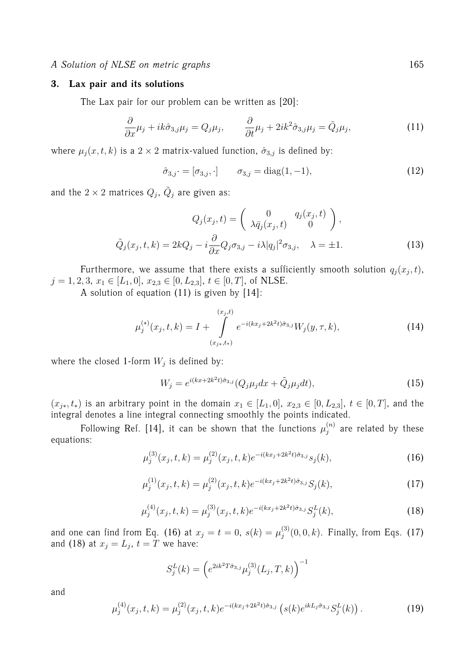#### **3. Lax pair and its solutions**

The Lax pair for our problem can be written as [20]:

$$
\frac{\partial}{\partial x}\mu_j + ik\hat{\sigma}_{3,j}\mu_j = Q_j\mu_j, \qquad \frac{\partial}{\partial t}\mu_j + 2ik^2\hat{\sigma}_{3,j}\mu_j = \tilde{Q}_j\mu_j,\tag{11}
$$

where  $\mu_j(x, t, k)$  is a 2 × 2 matrix-valued function,  $\hat{\sigma}_{3,j}$  is defined by:

$$
\hat{\sigma}_{3,j} \cdot = [\sigma_{3,j}, \cdot] \qquad \sigma_{3,j} = \text{diag}(1, -1), \tag{12}
$$

and the  $2\times 2$  matrices  $Q_j,\,\tilde Q_j$  are given as:

$$
Q_j(x_j, t) = \begin{pmatrix} 0 & q_j(x_j, t) \\ \lambda \bar{q}_j(x_j, t) & 0 \end{pmatrix},
$$

$$
\tilde{Q}_j(x_j, t, k) = 2kQ_j - i\frac{\partial}{\partial x}Q_j\sigma_{3,j} - i\lambda|q_j|^2\sigma_{3,j}, \quad \lambda = \pm 1.
$$
 (13)

Furthermore, we assume that there exists a sufficiently smooth solution  $q_j(x_j,t),$  $j = 1, 2, 3, x_1 \in [L_1, 0], x_{2,3} \in [0, L_{2,3}], t \in [0, T],$  of NLSE.

A solution of equation (11) is given by [14]:

$$
\mu_j^{(*)}(x_j, t, k) = I + \int_{(x_j, t, t)}^{(x_j, t)} e^{-i(kx_j + 2k^2t)\hat{\sigma}_{3,j}} W_j(y, \tau, k), \tag{14}
$$

where the closed 1-form  $W_j$  is defined by:

$$
W_j = e^{i(kx + 2k^2t)\hat{\sigma}_{3,j}} (Q_j \mu_j dx + \tilde{Q}_j \mu_j dt), \qquad (15)
$$

 $(x_{j*}, t*)$  is an arbitrary point in the domain  $x_1 ∈ [L_1, 0], x_{2,3} ∈ [0, L_{2,3}], t ∈ [0, T],$  and the integral denotes a line integral connecting smoothly the points indicated.

Following Ref. [14], it can be shown that the functions  $\mu_i^{(n)}$  $j_j^{(n)}$  are related by these equations:

$$
\mu_j^{(3)}(x_j, t, k) = \mu_j^{(2)}(x_j, t, k) e^{-i(kx_j + 2k^2t)\hat{\sigma}_{3,j}} s_j(k), \tag{16}
$$

$$
\mu_j^{(1)}(x_j, t, k) = \mu_j^{(2)}(x_j, t, k) e^{-i(kx_j + 2k^2t)\hat{\sigma}_{3,j}} S_j(k), \tag{17}
$$

$$
\mu_j^{(4)}(x_j, t, k) = \mu_j^{(3)}(x_j, t, k) e^{-i(kx_j + 2k^2t)\hat{\sigma}_{3,j}} S_j^L(k), \tag{18}
$$

and one can find from Eq. (16) at  $x_j = t = 0$ ,  $s(k) = \mu_j^{(3)}$  $j_j^{(3)}(0,0,k)$ . Finally, from Eqs. (17) and (18) at  $x_j = L_j$ ,  $t = T$  we have:

$$
S_j^L(k) = \left(e^{2ik^2T\hat{\sigma}_{3,j}}\mu_j^{(3)}(L_j, T, k)\right)^{-1}
$$

and

$$
\mu_j^{(4)}(x_j, t, k) = \mu_j^{(2)}(x_j, t, k) e^{-i(kx_j + 2k^2t)\hat{\sigma}_{3,j}} \left( s(k) e^{ikL_j\hat{\sigma}_{3,j}} S_j^L(k) \right).
$$
 (19)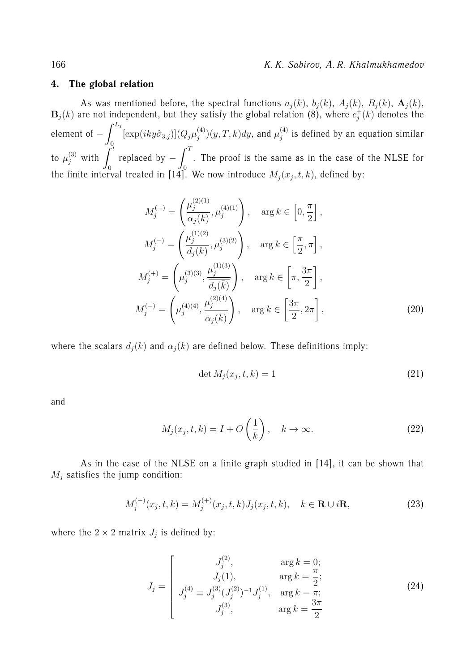## **4. The global relation**

As was mentioned before, the spectral functions  $a_j(k)$ ,  $b_j(k)$ ,  $A_j(k)$ ,  $B_j(k)$ ,  $\mathbf{A}_j(k)$ ,  $\mathbf{B}_j(k)$  are not independent, but they satisfy the global relation (8), where  $c_j^+$  $k_j^+(k)$  denotes the element of  $- \int^{L_j}$ 0  $[\exp(iky\hat{\sigma}_{3,j})](Q_j\mu_i^{(4)})$  $j^{(4)}_j)(y,T,k)dy,$  and  $\mu^{(4)}_j$  $j^{(4)}_j$  is defined by an equation similar to  $\mu_j^{(3)}$  with  $\int_0^t$ replaced by  $- \int^T$  $\overline{0}$ . The proof is the same as in the case of the NLSE for the finite interval treated in [14]. We now introduce  $M_j(x_j,t,k)$ , defined by:

$$
M_j^{(+)} = \left(\frac{\mu_j^{(2)(1)}}{\alpha_j(k)}, \mu_j^{(4)(1)}\right), \quad \arg k \in \left[0, \frac{\pi}{2}\right],
$$
  
\n
$$
M_j^{(-)} = \left(\frac{\mu_j^{(1)(2)}}{d_j(k)}, \mu_j^{(3)(2)}\right), \quad \arg k \in \left[\frac{\pi}{2}, \pi\right],
$$
  
\n
$$
M_j^{(+)} = \left(\mu_j^{(3)(3)}, \frac{\mu_j^{(1)(3)}}{\overline{d_j(\overline{k})}}\right), \quad \arg k \in \left[\pi, \frac{3\pi}{2}\right],
$$
  
\n
$$
M_j^{(-)} = \left(\mu_j^{(4)(4)}, \frac{\mu_j^{(2)(4)}}{\overline{\alpha_j(\overline{k})}}\right), \quad \arg k \in \left[\frac{3\pi}{2}, 2\pi\right],
$$
  
\n(20)

where the scalars  $d_j(k)$  and  $\alpha_j(k)$  are defined below. These definitions imply:

$$
\det M_j(x_j, t, k) = 1\tag{21}
$$

and

$$
M_j(x_j, t, k) = I + O\left(\frac{1}{k}\right), \quad k \to \infty.
$$
 (22)

As in the case of the NLSE on a finite graph studied in [14], it can be shown that  $M_i$  satisfies the jump condition:

$$
M_j^{(-)}(x_j, t, k) = M_j^{(+)}(x_j, t, k) J_j(x_j, t, k), \quad k \in \mathbf{R} \cup i\mathbf{R},
$$
\n(23)

where the  $2 \times 2$  matrix  $J_j$  is defined by:

$$
J_j = \begin{bmatrix} J_j^{(2)}, & \arg k = 0; \\ J_j(1), & \arg k = \frac{\pi}{2}; \\ J_j^{(4)} \equiv J_j^{(3)}(J_j^{(2)})^{-1}J_j^{(1)}, & \arg k = \pi; \\ J_j^{(3)}, & \arg k = \frac{3\pi}{2} \end{bmatrix}
$$
(24)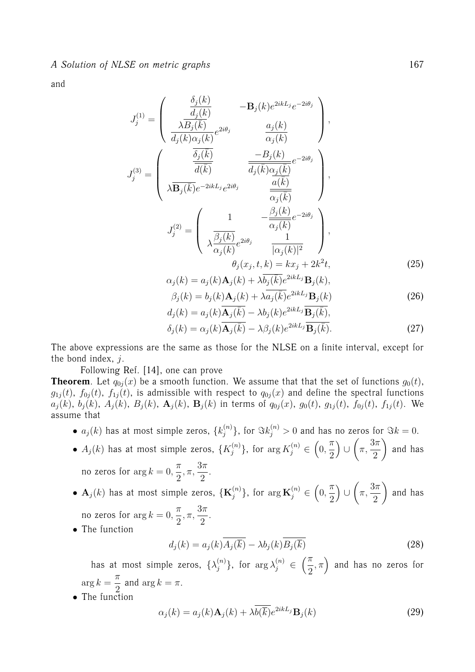and

$$
J_j^{(1)} = \begin{pmatrix} \frac{\delta_j(k)}{d_j(k)} & -\mathbf{B}_j(k)e^{2ikL_j}e^{-2i\theta_j} \\ \frac{\lambda \overline{B}_j(\overline{k})}{d_j(k)\alpha_j(k)}e^{2i\theta_j} & \frac{a_j(k)}{\alpha_j(k)} \end{pmatrix},
$$

$$
J_j^{(3)} = \begin{pmatrix} \frac{\overline{\delta}_j(\overline{k})}{d(\overline{k})} & \frac{-B_j(k)}{\overline{d_j(k)}\alpha_j(\overline{k})}e^{-2i\theta_j} \\ \lambda \overline{\mathbf{B}_j(\overline{k})}e^{-2ikL_j}e^{2i\theta_j} & \frac{\overline{a}(\overline{k})}{\overline{\alpha_j(\overline{k})}} \end{pmatrix},
$$

$$
J_j^{(2)} = \begin{pmatrix} 1 & -\frac{\beta_j(k)}{\overline{\alpha_j(k)}}e^{-2i\theta_j} \\ \lambda \frac{\overline{\beta_j(k)}}{\overline{\alpha_j(k)}}e^{2i\theta_j} & \frac{1}{|\alpha_j(k)|^2} \end{pmatrix},
$$

$$
\theta_j(x_j, t, k) = kx_j + 2k^2t,
$$
(25)
$$
\alpha_j(k) = a_j(k)A_j(k) + \lambda \overline{b_j(\overline{k})}e^{2ikL_j}\mathbf{B}_j(k),
$$

$$
\beta_j(k) = b_j(k)\mathbf{A}_j(k) + \lambda \overline{a_j(\bar{k})}e^{2ikL_j}\mathbf{B}_j(k)
$$
\n(26)

$$
d_j(k) = a_j(k)\overline{\mathbf{A}_j(\bar{k})} - \lambda b_j(k)e^{2ikL_j}\overline{\mathbf{B}_j(\bar{k})},
$$
  
\n
$$
\delta_j(k) = \alpha_j(k)\overline{\mathbf{A}_j(\bar{k})} - \lambda\beta_j(k)e^{2ikL_j}\overline{\mathbf{B}_j(\bar{k})}.
$$
\n(27)

The above expressions are the same as those for the NLSE on a finite interval, except for the bond index,  $j$ .

Following Ref. [14], one can prove

**Theorem**. Let  $q_{0i}(x)$  be a smooth function. We assume that that the set of functions  $q_0(t)$ ,  $g_{1j}(t)$ ,  $f_{0j}(t)$ ,  $f_{1j}(t)$ , is admissible with respect to  $q_{0j}(x)$  and define the spectral functions  $a_j(k)$ ,  $b_j(k)$ ,  $A_j(k)$ ,  $B_j(k)$ ,  $\mathbf{A}_j(k)$ ,  $\mathbf{B}_j(k)$  in terms of  $q_{0j}(x)$ ,  $g_0(t)$ ,  $g_{1j}(t)$ ,  $f_{0j}(t)$ ,  $f_{1j}(t)$ . We assume that

- $\bullet$   $a_j(k)$  has at most simple zeros,  $\{k_j^{(n)}\}$  $\{h^{(n)}_j\},$  for  $\Im k_j^{(n)}>0$  and has no zeros for  $\Im k=0.1$
- $A_j(k)$  has at most simple zeros,  $\{K_j^{(n)}\}$  $\{f^{(n)}_j\}$ , for  $\arg K_j^{(n)} \in (0,1)$  $\pi$ 2 ∪  $\sqrt{ }$ π,  $3\pi$ 2  $\setminus$ and has no zeros for  $\arg k = 0$ ,  $\pi$ 2 , π,  $3\pi$  $\frac{\pi}{2}$ .
- $\bullet$   $\mathbf{A}_{j}(k)$  has at most simple zeros,  $\{\mathbf{K}_{j}^{(n)}\}$  $\binom{n}{j},$  for  $\arg \mathbf{K}_j^{(n)} \in \left(0, \right)$  $\pi$ 2 ∪  $\sqrt{ }$ π,  $3\pi$ 2  $\setminus$ and has no zeros for  $\arg k = 0$ ,  $\pi$ 2 , π,  $3\pi$  $\frac{\pi}{2}$ .
- The function

$$
d_j(k) = a_j(k)\overline{A_j(\overline{k})} - \lambda b_j(k)\overline{B_j(\overline{k})}
$$
\n(28)

has at most simple zeros,  $\{\lambda_i^{(n)}\}$  $\binom{n}{j}$ , for  $\arg \lambda_j^{(n)} \in \left(\frac{\pi}{2}\right)$ 2  $(\pi)$  and has no zeros for  $\arg k =$  $\pi$  $\frac{\pi}{2}$  and  $\arg k = \pi$ .

• The function

$$
\alpha_j(k) = a_j(k)\mathbf{A}_j(k) + \lambda \overline{b(\overline{k})}e^{2ikL_j}\mathbf{B}_j(k)
$$
\n(29)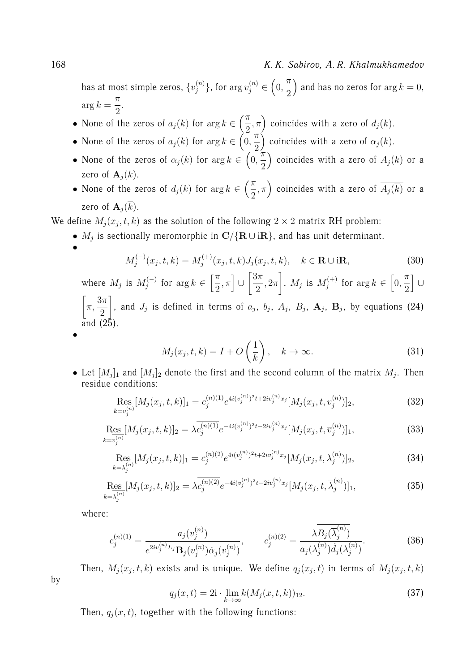#### 168 *K. K. Sabirov, A. R. Khalmukhamedov*

has at most simple zeros,  $\{v^{(n)}_i\}$  $\{y_j^{(n)}\}$ , for  $\arg v_j^{(n)} \in \left(0, \right)$  $\pi$ 2 ) and has no zeros for  $\arg k = 0,$  $\arg k =$  $\pi$  $\frac{1}{2}$ .

- None of the zeros of  $a_j(k)$  for  $\arg k \in \left(\frac{\pi}{2}\right)$ 2  $(\pi,\pi)$  coincides with a zero of  $d_j(k)$ .  $\pi$
- None of the zeros of  $a_j(k)$  for  $\arg k \in (0,1)$ 2 ) coincides with a zero of  $\alpha_j(k)$ . π
- None of the zeros of  $\alpha_j(k)$  for  $\arg k \in (0,1)$ 2 ) coincides with a zero of  $A_j(k)$  or a zero of  $\mathbf{A}_j(k)$ .
- None of the zeros of  $d_j(k)$  for  $\arg k \in \left(\frac{\pi}{2}\right)$ 2  $(\pi,\pi)$  coincides with a zero of  $\overline{A_j(\overline{k})}$  or a zero of  $\overline{\mathbf{A}_{i}(\overline{k})}$ .

We define  $M_j(x_j,t,k)$  as the solution of the following  $2 \times 2$  matrix RH problem:

•  $M_j$  is sectionally meromorphic in  ${\bf C}/{\{{\bf R} \cup {\rm i}{\bf R}\}}$ , and has unit determinant.

$$
M_j^{(-)}(x_j, t, k) = M_j^{(+)}(x_j, t, k) J_j(x_j, t, k), \quad k \in \mathbf{R} \cup \mathbf{iR}, \tag{30}
$$

where  $M_j$  is  $M_j^{(-)}$  $f_j^{(-)}$  for  $\arg k \in \left[\frac{\pi}{2}\right]$ 2  $,\pi$ ] ∪  $\lceil 3\pi$ 2  $, 2\pi$ 1 ,  $M_j$  is  $M_j^{(+)}$  $f_j^{(+)}$  for  $\arg k \in \left[0,\right]$  $\pi$ 2 i ∪  $\sqrt{ }$ π,  $3\pi$ 2 1 , and  $J_j$  is defined in terms of  $a_j$ ,  $b_j$ ,  $A_j$ ,  $B_j$ ,  $\mathbf{A}_j$ ,  $\mathbf{B}_j$ , by equations (24) and (25).

•

•

$$
M_j(x_j, t, k) = I + O\left(\frac{1}{k}\right), \quad k \to \infty.
$$
 (31)

• Let  $[M_j]_1$  and  $[M_j]_2$  denote the first and the second column of the matrix  $M_j$ . Then residue conditions:

$$
\underset{k=v_j^{(n)}}{\text{Res}}[M_j(x_j, t, k)]_1 = c_j^{(n)(1)} e^{4i(v_j^{(n)})^2 t + 2iv_j^{(n)} x_j} [M_j(x_j, t, v_j^{(n)})]_2,\tag{32}
$$

$$
\underset{k=v_j^{(n)}}{\text{Res}}[M_j(x_j, t, k)]_2 = \lambda \overline{c_j^{(n)(1)}} e^{-4i(v_j^{(n)})^2 t - 2iv_j^{(n)} x_j} [M_j(x_j, t, \overline{v}_j^{(n)})]_1,\tag{33}
$$

$$
\operatorname{Res}_{k=\lambda_j^{(n)}}[M_j(x_j,t,k)]_1 = c_j^{(n)(2)} e^{4i(v_j^{(n)})^2 t + 2iv_j^{(n)} x_j} [M_j(x_j,t,\lambda_j^{(n)})]_2,
$$
\n(34)

$$
\underset{k=\lambda_j^{(n)}}{\text{Res}}[M_j(x_j, t, k)]_2 = \lambda c_j^{(n)(2)} e^{-4i(v_j^{(n)})^2 t - 2iv_j^{(n)} x_j} [M_j(x_j, t, \overline{\lambda}_j^{(n)})]_1,\tag{35}
$$

where:

by

$$
c_j^{(n)(1)} = \frac{a_j(v_j^{(n)})}{e^{2iv_j^{(n)}L_j} \mathbf{B}_j(v_j^{(n)}) \dot{\alpha}_j(v_j^{(n)})}, \qquad c_j^{(n)(2)} = \frac{\lambda B_j(\overline{\lambda}_j^{(n)})}{a_j(\lambda_j^{(n)}) \dot{d}_j(\lambda_j^{(n)})}.
$$
(36)

Then,  $M_j(x_j,t,k)$  exists and is unique. We define  $q_j(x_j,t)$  in terms of  $M_j(x_j,t,k)$ 

$$
q_j(x,t) = 2\mathbf{i} \cdot \lim_{k \to \infty} k(M_j(x,t,k))_{12}.
$$
 (37)

Then,  $q_i(x, t)$ , together with the following functions: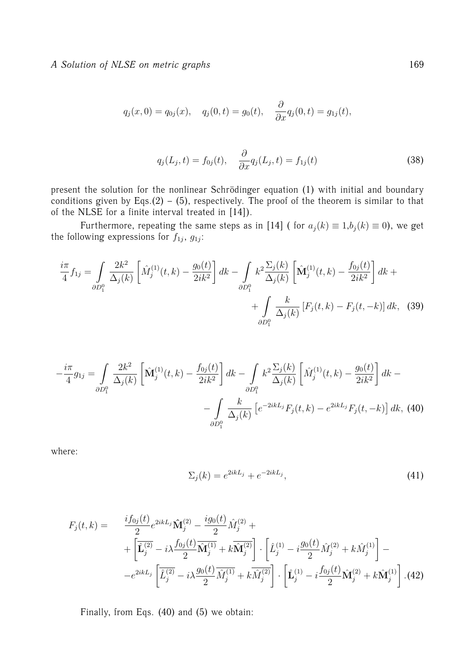*A Solution of NLSE on metric graphs* 169

$$
q_j(x, 0) = q_{0j}(x),
$$
  $q_j(0,t) = g_0(t),$   $\frac{\partial}{\partial x}q_j(0,t) = g_{1j}(t),$ 

$$
q_j(L_j, t) = f_{0j}(t), \quad \frac{\partial}{\partial x} q_j(L_j, t) = f_{1j}(t) \tag{38}
$$

present the solution for the nonlinear Schrödinger equation (1) with initial and boundary conditions given by Eqs.(2) – (5), respectively. The proof of the theorem is similar to that of the NLSE for a finite interval treated in [14]).

Furthermore, repeating the same steps as in [14] ( for  $a_j(k) \equiv 1, b_j(k) \equiv 0$ ), we get the following expressions for  $f_{1j}$ ,  $g_{1j}$ :

$$
\frac{i\pi}{4}f_{1j} = \int_{\partial D_1^0} \frac{2k^2}{\Delta_j(k)} \left[ \hat{M}_j^{(1)}(t,k) - \frac{g_0(t)}{2ik^2} \right] dk - \int_{\partial D_1^0} k^2 \frac{\Sigma_j(k)}{\Delta_j(k)} \left[ \hat{M}_j^{(1)}(t,k) - \frac{f_{0j}(t)}{2ik^2} \right] dk + \int_{\partial D_1^0} \frac{k}{\Delta_j(k)} \left[ F_j(t,k) - F_j(t,-k) \right] dk, \tag{39}
$$

$$
-\frac{i\pi}{4}g_{1j} = \int_{\partial D_1^0} \frac{2k^2}{\Delta_j(k)} \left[ \hat{\mathbf{M}}_j^{(1)}(t,k) - \frac{f_{0j}(t)}{2ik^2} \right] dk - \int_{\partial D_1^0} k^2 \frac{\Sigma_j(k)}{\Delta_j(k)} \left[ \hat{M}_j^{(1)}(t,k) - \frac{g_0(t)}{2ik^2} \right] dk - \int_{\partial D_1^0} \frac{k}{\Delta_j(k)} \left[ e^{-2ikL_j} F_j(t,k) - e^{2ikL_j} F_j(t,-k) \right] dk, (40)
$$

where:

$$
\Sigma_j(k) = e^{2ikL_j} + e^{-2ikL_j},\tag{41}
$$

$$
F_j(t,k) = \frac{i f_{0j}(t)}{2} e^{2ikL_j} \hat{\mathbf{M}}_j^{(2)} - \frac{i g_0(t)}{2} \hat{M}_j^{(2)} + \left[ \hat{\mathbf{L}}_j^{(2)} - i \lambda \frac{f_{0j}(t)}{2} \hat{\mathbf{M}}_j^{(1)} + k \hat{\mathbf{M}}_j^{(2)} \right] \cdot \left[ \hat{L}_j^{(1)} - i \frac{g_0(t)}{2} \hat{M}_j^{(2)} + k \hat{M}_j^{(1)} \right] -
$$

$$
-e^{2ikL_j} \left[ \hat{\mathbf{L}}_j^{(2)} - i \lambda \frac{g_0(t)}{2} \hat{M}_j^{(1)} + k \hat{M}_j^{(2)} \right] \cdot \left[ \hat{\mathbf{L}}_j^{(1)} - i \frac{f_{0j}(t)}{2} \hat{\mathbf{M}}_j^{(2)} + k \hat{\mathbf{M}}_j^{(1)} \right].
$$
(42)

Finally, from Eqs. (40) and (5) we obtain: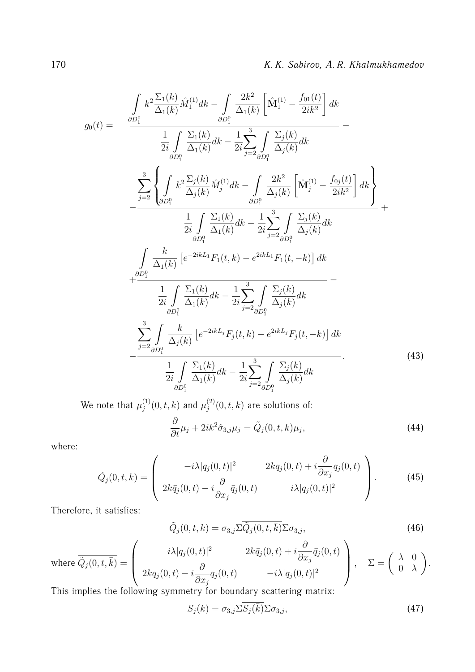$$
g_{0}(t) = \frac{\int_{\partial D_{1}^{0}} k^{2} \frac{\sum_{1}(k)}{\Delta_{1}(k)} \hat{M}_{1}^{(1)} dk - \int_{\partial D_{1}^{0}} \frac{2k^{2}}{\Delta_{1}(k)} \left[ \hat{M}_{1}^{(1)} - \frac{f_{01}(t)}{2ik^{2}} \right] dk}{\frac{1}{2i} \int_{\partial D_{1}^{0}} \frac{\sum_{1}(k)}{\Delta_{1}(k)} dk - \frac{1}{2i} \sum_{j=2}^{3} \int_{\partial D_{1}^{0}} \frac{\sum_{j}(k)}{\Delta_{j}(k)} dk} - \frac{\sum_{j=2}^{3} \left\{ \int_{\partial D_{1}^{0}} k^{2} \frac{\sum_{j}(k)}{\Delta_{j}(k)} \hat{M}_{j}^{(1)} dk - \int_{\partial D_{1}^{0}} \frac{2k^{2}}{\Delta_{j}(k)} \left[ \hat{M}_{j}^{(1)} - \frac{f_{0j}(t)}{2ik^{2}} \right] dk \right\}} + \frac{\frac{1}{2i} \int_{\partial D_{1}^{0}} \frac{\sum_{1}(k)}{\Delta_{1}(k)} dk - \frac{1}{2i} \sum_{j=2}^{3} \int_{\partial D_{1}^{0}} \frac{\sum_{j}(k)}{\Delta_{j}(k)} dk}{\Delta_{1}(k)} - \frac{\frac{k}{2i} \int_{\partial D_{1}^{0}} \frac{\sum_{1}(k)}{\Delta_{1}(k)} k - \frac{1}{2i} \sum_{j=2}^{3} \int_{\partial D_{1}^{0}} \frac{\sum_{j}(k)}{\Delta_{j}(k)} dk}{\Delta_{1}(k)} - \frac{\frac{1}{2i} \int_{\partial D_{1}^{0}} \frac{\sum_{1}(k)}{\Delta_{1}(k)} dk - \frac{1}{2i} \sum_{j=2}^{3} \int_{\partial D_{1}^{0}} \frac{\sum_{j}(k)}{\Delta_{j}(k)} dk}{\frac{1}{2i} \int_{\partial D_{1}^{0}} \frac{\sum_{1}(k)}{\Delta_{1}(k)} k - \frac{1}{2i} \sum_{j=2}^{3} \int_{\partial D_{1}^{0}} \frac{\sum_{j}(k)}{\Delta_{j}(k)} dk}.
$$
\n(43)

We note that  $\mu_i^{(1)}$  $j_j^{(1)}(0,t,k)$  and  $\mu_j^{(2)}$  $j_j^{(2)}(0,t,k)$  are solutions of:

$$
\frac{\partial}{\partial t}\mu_j + 2ik^2\hat{\sigma}_{3,j}\mu_j = \tilde{Q}_j(0,t,k)\mu_j,\tag{44}
$$

where:

$$
\tilde{Q}_j(0,t,k) = \begin{pmatrix} -i\lambda |q_j(0,t)|^2 & 2kq_j(0,t) + i\frac{\partial}{\partial x_j}q_j(0,t) \\ 2k\bar{q}_j(0,t) - i\frac{\partial}{\partial x_j}\bar{q}_j(0,t) & i\lambda |q_j(0,t)|^2 \end{pmatrix}.
$$
 (45)

Therefore, it satisfies:

$$
\tilde{Q}_j(0,t,k) = \sigma_{3,j} \Sigma \overline{\tilde{Q}_j(0,t,\bar{k})} \Sigma \sigma_{3,j},\tag{46}
$$

where 
$$
\overline{\tilde{Q}}_j(0, t, \overline{k}) = \begin{pmatrix} i\lambda |q_j(0, t)|^2 & 2k\overline{q}_j(0, t) + i\frac{\partial}{\partial x_j}\overline{q}_j(0, t) \\ 2kq_j(0, t) - i\frac{\partial}{\partial x_j}q_j(0, t) & -i\lambda |q_j(0, t)|^2 \end{pmatrix}
$$
,  $\Sigma = \begin{pmatrix} \lambda & 0 \\ 0 & \lambda \end{pmatrix}$ .

This implies the following symmetry for boundary scattering matrix:

$$
S_j(k) = \sigma_{3,j} \Sigma \overline{S_j(\overline{k})} \Sigma \sigma_{3,j},\tag{47}
$$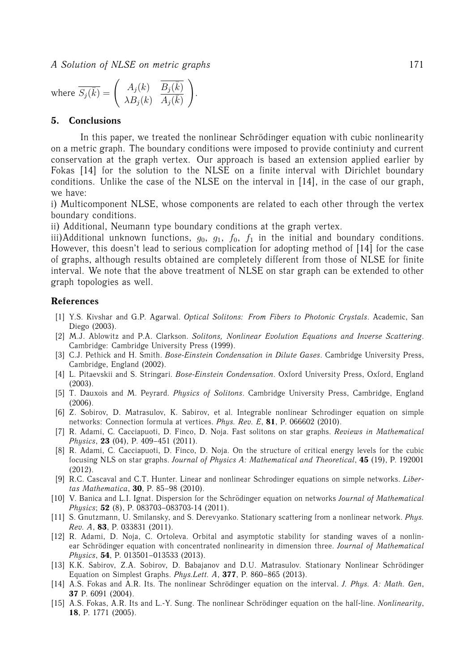where 
$$
\overline{S_j(\overline{k})}
$$
 =  $\begin{pmatrix} A_j(k) & \overline{B_j(\overline{k})} \\ \lambda B_j(k) & A_j(\overline{k}) \end{pmatrix}$ .

#### **5. Conclusions**

In this paper, we treated the nonlinear Schrödinger equation with cubic nonlinearity on a metric graph. The boundary conditions were imposed to provide continiuty and current conservation at the graph vertex. Our approach is based an extension applied earlier by Fokas [14] for the solution to the NLSE on a finite interval with Dirichlet boundary conditions. Unlike the case of the NLSE on the interval in [14], in the case of our graph, we have:

i) Multicomponent NLSE, whose components are related to each other through the vertex boundary conditions.

ii) Additional, Neumann type boundary conditions at the graph vertex.

iii)Additional unknown functions,  $g_0$ ,  $g_1$ ,  $f_0$ ,  $f_1$  in the initial and boundary conditions. However, this doesn't lead to serious complication for adopting method of [14] for the case of graphs, although results obtained are completely different from those of NLSE for finite interval. We note that the above treatment of NLSE on star graph can be extended to other graph topologies as well.

#### **References**

- [1] Y.S. Kivshar and G.P. Agarwal. *Optical Solitons: From Fibers to Photonic Crystals*. Academic, San Diego (2003).
- [2] M.J. Ablowitz and P.A. Clarkson. *Solitons, Nonlinear Evolution Equations and Inverse Scattering*. Cambridge: Cambridge University Press (1999).
- [3] C.J. Pethick and H. Smith. *Bose-Einstein Condensation in Dilute Gases*. Cambridge University Press, Cambridge, England (2002).
- [4] L. Pitaevskii and S. Stringari. *Bose-Einstein Condensation*. Oxford University Press, Oxford, England (2003).
- [5] T. Dauxois and M. Peyrard. *Physics of Solitons*. Cambridge University Press, Cambridge, England (2006).
- [6] Z. Sobirov, D. Matrasulov, K. Sabirov, et al. Integrable nonlinear Schrodinger equation on simple networks: Connection formula at vertices. *Phys. Rev. E*, **81**, P. 066602 (2010).
- [7] R. Adami, C. Cacciapuoti, D. Finco, D. Noja. Fast solitons on star graphs. *Reviews in Mathematical Physics*, **23** (04), P. 409–451 (2011).
- [8] R. Adami, C. Cacciapuoti, D. Finco, D. Noja. On the structure of critical energy levels for the cubic focusing NLS on star graphs. *Journal of Physics A: Mathematical and Theoretical*, **45** (19), P. 192001 (2012).
- [9] R.C. Cascaval and C.T. Hunter. Linear and nonlinear Schrodinger equations on simple networks. *Libertas Mathematica*, **30**, P. 85–98 (2010).
- [10] V. Banica and L.I. Ignat. Dispersion for the Schrödinger equation on networks *Journal of Mathematical Physics*; **52** (8), P. 083703–083703-14 (2011).
- [11] S. Gnutzmann, U. Smilansky, and S. Derevyanko. Stationary scattering from a nonlinear network. *Phys. Rev. A*, **83**, P. 033831 (2011).
- [12] R. Adami, D. Noja, C. Ortoleva. Orbital and asymptotic stability for standing waves of a nonlinear Schrödinger equation with concentrated nonlinearity in dimension three. *Journal of Mathematical Physics*, **54**, P. 013501–013533 (2013).
- [13] K.K. Sabirov, Z.A. Sobirov, D. Babajanov and D.U. Matrasulov. Stationary Nonlinear Schrödinger Equation on Simplest Graphs. *Phys.Lett. A*, **377**, P. 860–865 (2013).
- [14] A.S. Fokas and A.R. Its. The nonlinear Schrödinger equation on the interval. J. Phys. A: Math. Gen, **37** P. 6091 (2004).
- [15] A.S. Fokas, A.R. Its and L.-Y. Sung. The nonlinear Schrödinger equation on the half-line. *Nonlinearity*, **18**, P. 1771 (2005).